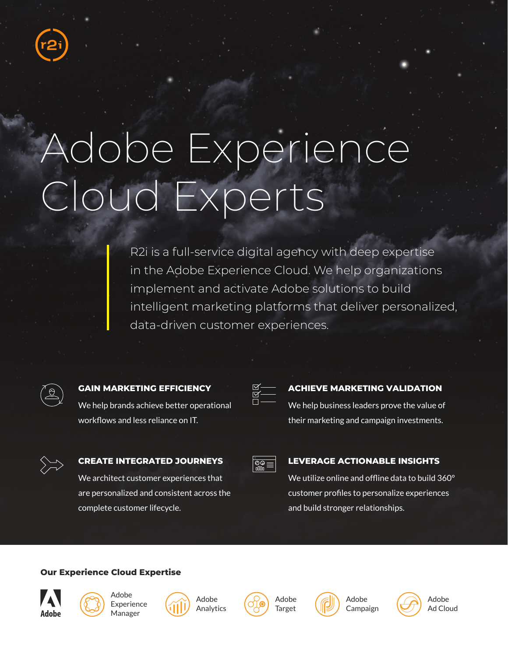# Adobe Experience Cloud Experts

R2i is a full-service digital agency with deep expertise in the Adobe Experience Cloud. We help organizations implement and activate Adobe solutions to build intelligent marketing platforms that deliver personalized, data-driven customer experiences.



**GAIN MARKETING EFFICIENCY**

We help brands achieve better operational workflows and less reliance on IT.

| ۵ |  |
|---|--|
|   |  |

### **ACHIEVE MARKETING VALIDATION**

We help business leaders prove the value of their marketing and campaign investments.

### **CREATE INTEGRATED JOURNEYS**

We architect customer experiences that are personalized and consistent across the complete customer lifecycle.

| lπ |
|----|
|    |

### **LEVERAGE ACTIONABLE INSIGHTS**

We utilize online and offline data to build 360° customer profiles to personalize experiences and build stronger relationships.

### **Our Experience Cloud Expertise**





Adobe Analytics







Adobe Ad Cloud